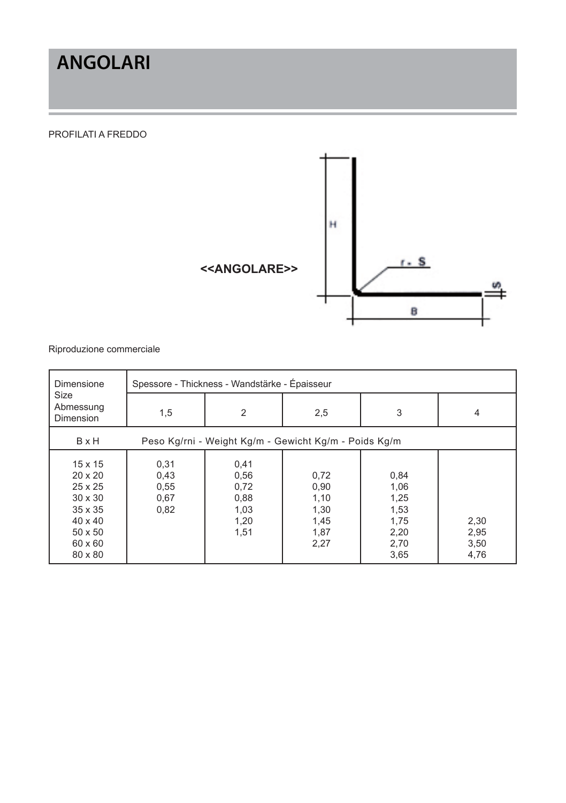## **ANGOLARI**

#### PROFILATI A FREDDO



| <b>Dimensione</b>                                                                                                    | Spessore - Thickness - Wandstärke - Épaisseur         |                                                      |                                                      |                                                              |                              |  |  |
|----------------------------------------------------------------------------------------------------------------------|-------------------------------------------------------|------------------------------------------------------|------------------------------------------------------|--------------------------------------------------------------|------------------------------|--|--|
| Size<br>Abmessung<br>Dimension                                                                                       | 1,5                                                   | 2                                                    | 2,5                                                  | 3                                                            | $\overline{4}$               |  |  |
| <b>B</b> x H                                                                                                         | Peso Kg/rni - Weight Kg/m - Gewicht Kg/m - Poids Kg/m |                                                      |                                                      |                                                              |                              |  |  |
| 15 x 15<br>$20 \times 20$<br>25 x 25<br>$30 \times 30$<br>35 x 35<br>$40 \times 40$<br>50 x 50<br>60 x 60<br>80 x 80 | 0,31<br>0,43<br>0,55<br>0,67<br>0,82                  | 0,41<br>0,56<br>0,72<br>0,88<br>1,03<br>1,20<br>1,51 | 0,72<br>0,90<br>1,10<br>1,30<br>1,45<br>1,87<br>2,27 | 0,84<br>1,06<br>1,25<br>1,53<br>1,75<br>2,20<br>2,70<br>3,65 | 2,30<br>2,95<br>3,50<br>4,76 |  |  |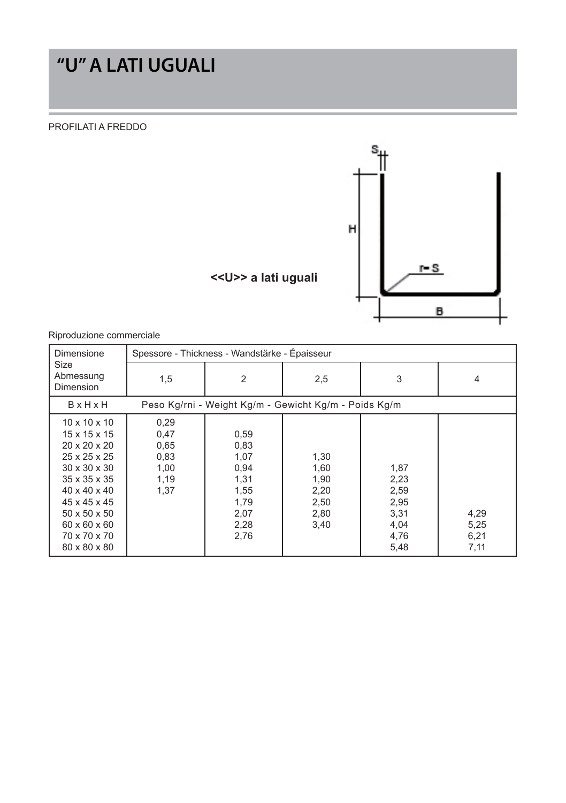# **"U" A LATI UGUALI**

PROFILATI A FREDDO



| Dimensione                                                                                                                                                                                                                                               | Spessore - Thickness - Wandstärke - Épaisseur        |                                                                              |                                                      |                                                              |                              |  |  |
|----------------------------------------------------------------------------------------------------------------------------------------------------------------------------------------------------------------------------------------------------------|------------------------------------------------------|------------------------------------------------------------------------------|------------------------------------------------------|--------------------------------------------------------------|------------------------------|--|--|
| Size<br>Abmessung<br>Dimension                                                                                                                                                                                                                           | 1,5                                                  | 2                                                                            | 2,5                                                  | 3                                                            | 4                            |  |  |
| <b>B</b> xHxH                                                                                                                                                                                                                                            |                                                      | Peso Kg/rni - Weight Kg/m - Gewicht Kg/m - Poids Kg/m                        |                                                      |                                                              |                              |  |  |
| $10 \times 10 \times 10$<br>15 x 15 x 15<br>$20 \times 20 \times 20$<br>25 x 25 x 25<br>$30 \times 30 \times 30$<br>35 x 35 x 35<br>$40 \times 40 \times 40$<br>45 x 45 x 45<br>$50 \times 50 \times 50$<br>60 x 60 x 60<br>70 x 70 x 70<br>80 x 80 x 80 | 0,29<br>0,47<br>0,65<br>0.83<br>1,00<br>1,19<br>1,37 | 0,59<br>0,83<br>1,07<br>0,94<br>1,31<br>1,55<br>1,79<br>2,07<br>2,28<br>2,76 | 1,30<br>1,60<br>1,90<br>2,20<br>2,50<br>2,80<br>3,40 | 1,87<br>2,23<br>2,59<br>2,95<br>3,31<br>4,04<br>4,76<br>5,48 | 4,29<br>5,25<br>6,21<br>7,11 |  |  |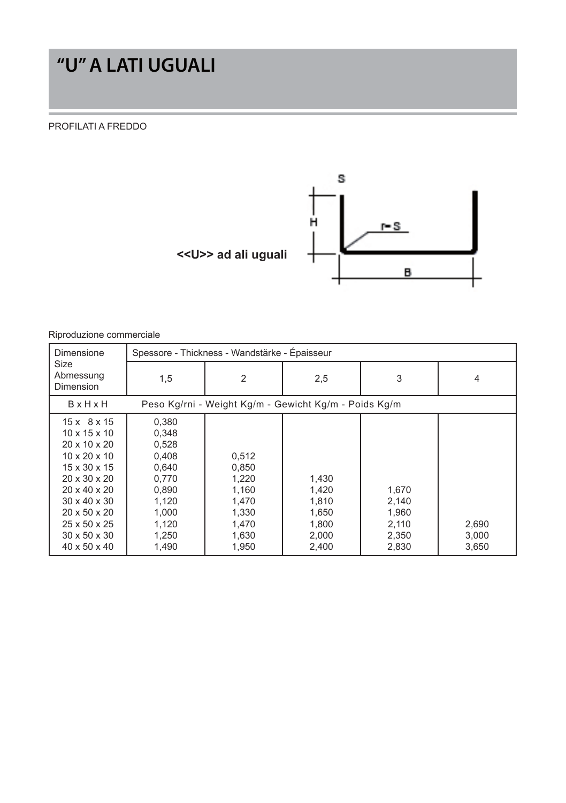## **"U" A LATI UGUALI**

#### PROFILATI A FREDDO



| Dimensione                                                                                                                                                                                                                                                                       | Spessore - Thickness - Wandstärke - Épaisseur                                                            |                                                                               |                                                             |                                                    |                         |  |  |
|----------------------------------------------------------------------------------------------------------------------------------------------------------------------------------------------------------------------------------------------------------------------------------|----------------------------------------------------------------------------------------------------------|-------------------------------------------------------------------------------|-------------------------------------------------------------|----------------------------------------------------|-------------------------|--|--|
| Size<br>Abmessung<br>Dimension                                                                                                                                                                                                                                                   | 1,5                                                                                                      | 2                                                                             | 2,5                                                         | 3                                                  | 4                       |  |  |
| <b>B</b> xHxH                                                                                                                                                                                                                                                                    |                                                                                                          | Peso Kg/rni - Weight Kg/m - Gewicht Kg/m - Poids Kg/m                         |                                                             |                                                    |                         |  |  |
| $15x$ 8 x 15<br>$10 \times 15 \times 10$<br>20 x 10 x 20<br>$10 \times 20 \times 10$<br>15 x 30 x 15<br>$20 \times 30 \times 20$<br>$20 \times 40 \times 20$<br>$30 \times 40 \times 30$<br>$20 \times 50 \times 20$<br>25 x 50 x 25<br>$30 \times 50 \times 30$<br>40 x 50 x 40 | 0,380<br>0.348<br>0,528<br>0.408<br>0.640<br>0.770<br>0.890<br>1,120<br>1.000<br>1.120<br>1,250<br>1.490 | 0,512<br>0,850<br>1,220<br>1.160<br>1,470<br>1.330<br>1,470<br>1,630<br>1.950 | 1,430<br>1,420<br>1,810<br>1,650<br>1.800<br>2,000<br>2.400 | 1,670<br>2,140<br>1,960<br>2.110<br>2,350<br>2,830 | 2.690<br>3,000<br>3,650 |  |  |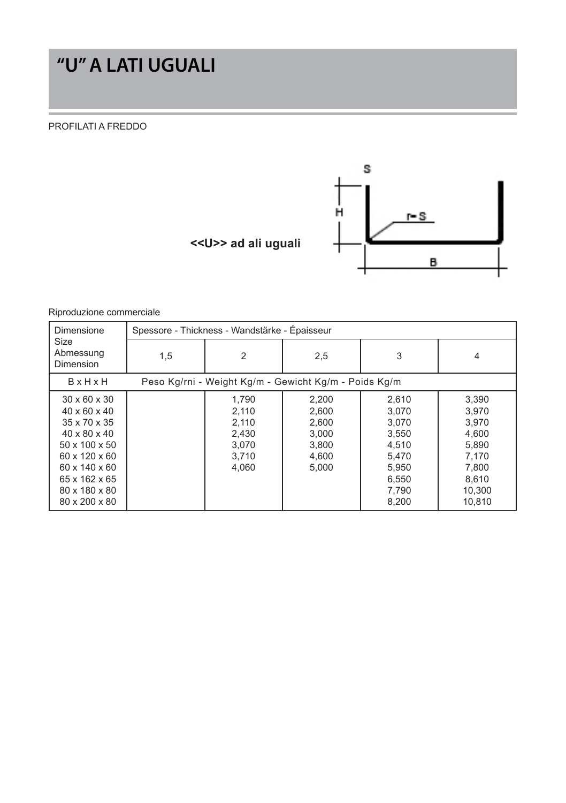# **"U" A LATI UGUALI**

PROFILATI A FREDDO



#### Riproduzione commerciale

| Dimensione                                                                                                                                                                                             | Spessore - Thickness - Wandstärke - Épaisseur |                                                             |                                                             |                                                                                        |                                                                                          |  |  |
|--------------------------------------------------------------------------------------------------------------------------------------------------------------------------------------------------------|-----------------------------------------------|-------------------------------------------------------------|-------------------------------------------------------------|----------------------------------------------------------------------------------------|------------------------------------------------------------------------------------------|--|--|
| Size<br>Abmessung<br>Dimension                                                                                                                                                                         | 1,5                                           | 2                                                           | 2,5                                                         | 3                                                                                      | 4                                                                                        |  |  |
| <b>B</b> x H x H                                                                                                                                                                                       |                                               |                                                             | Peso Kg/rni - Weight Kg/m - Gewicht Kg/m - Poids Kg/m       |                                                                                        |                                                                                          |  |  |
| $30 \times 60 \times 30$<br>$40 \times 60 \times 40$<br>35 x 70 x 35<br>$40 \times 80 \times 40$<br>50 x 100 x 50<br>60 x 120 x 60<br>60 x 140 x 60<br>65 x 162 x 65<br>80 x 180 x 80<br>80 x 200 x 80 |                                               | 1.790<br>2.110<br>2,110<br>2.430<br>3.070<br>3.710<br>4.060 | 2,200<br>2.600<br>2.600<br>3.000<br>3.800<br>4,600<br>5.000 | 2,610<br>3.070<br>3.070<br>3,550<br>4.510<br>5.470<br>5,950<br>6,550<br>7,790<br>8,200 | 3,390<br>3.970<br>3.970<br>4.600<br>5.890<br>7.170<br>7.800<br>8,610<br>10,300<br>10.810 |  |  |

 **<<U>> ad ali uguali**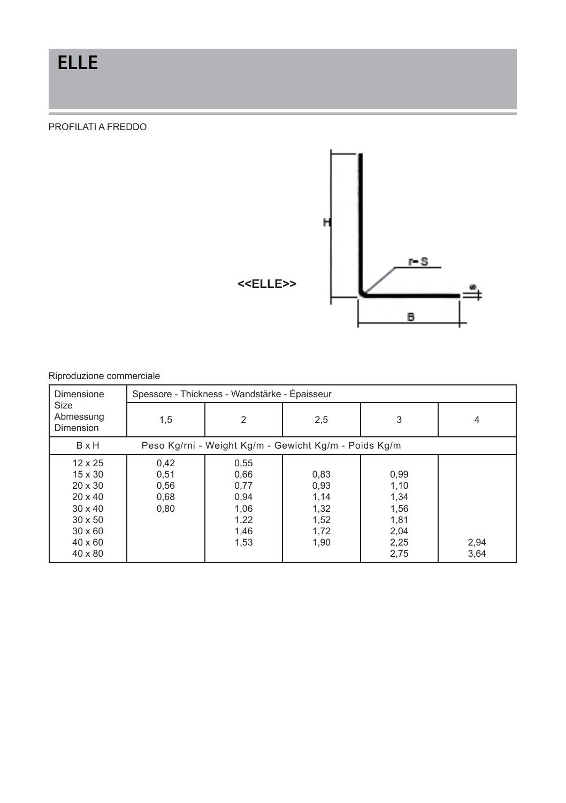## **ELLE**

PROFILATI A FREDDO



| Dimensione                                                                                                                                              | Spessore - Thickness - Wandstärke - Épaisseur |                                                              |                                                       |                                                              |              |  |
|---------------------------------------------------------------------------------------------------------------------------------------------------------|-----------------------------------------------|--------------------------------------------------------------|-------------------------------------------------------|--------------------------------------------------------------|--------------|--|
| Size<br>Abmessung<br>Dimension                                                                                                                          | 1,5                                           | $\overline{2}$                                               | 2,5                                                   | 3                                                            | 4            |  |
| <b>B</b> x H                                                                                                                                            |                                               |                                                              | Peso Kg/rni - Weight Kg/m - Gewicht Kg/m - Poids Kg/m |                                                              |              |  |
| $12 \times 25$<br>$15 \times 30$<br>$20 \times 30$<br>$20 \times 40$<br>$30 \times 40$<br>$30 \times 50$<br>$30 \times 60$<br>$40 \times 60$<br>40 x 80 | 0.42<br>0,51<br>0,56<br>0,68<br>0,80          | 0,55<br>0,66<br>0,77<br>0,94<br>1,06<br>1,22<br>1,46<br>1,53 | 0,83<br>0,93<br>1,14<br>1,32<br>1,52<br>1,72<br>1,90  | 0,99<br>1,10<br>1,34<br>1,56<br>1,81<br>2,04<br>2,25<br>2,75 | 2,94<br>3,64 |  |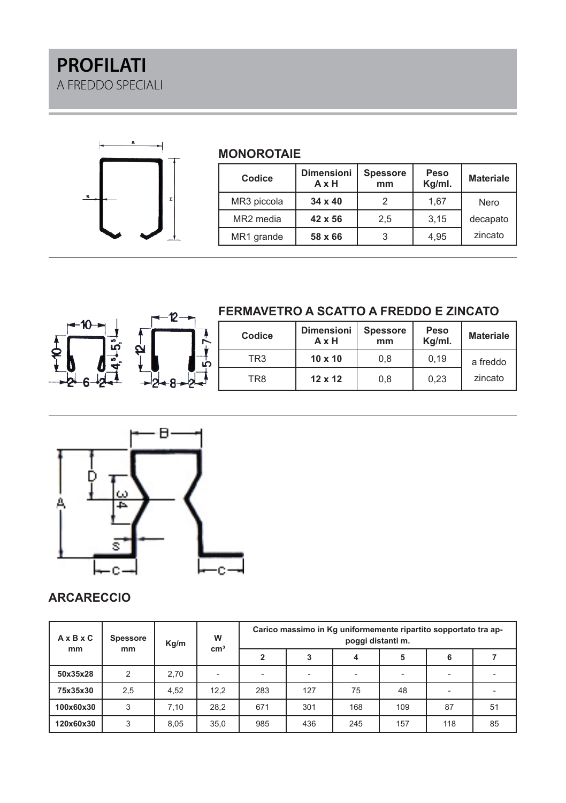

#### **MONOROTAIE**

| Codice                | <b>Dimensioni</b><br>AxH | <b>Spessore</b><br>mm | Peso<br>Kg/ml. | <b>Materiale</b> |
|-----------------------|--------------------------|-----------------------|----------------|------------------|
| MR3 piccola           | $34 \times 40$           |                       | 1,67           | Nero             |
| MR <sub>2</sub> media | 42 x 56                  | 2.5                   | 3,15           | decapato         |
| MR1 grande            | 58 x 66                  |                       | 4.95           | zincato          |



### **FERMAVETRO A SCATTO A FREDDO E ZINCATO**

| Codice          | Dimensioni  <br>AxH | <b>Spessore</b><br>mm | Peso<br>Kg/ml. | <b>Materiale</b> |
|-----------------|---------------------|-----------------------|----------------|------------------|
| TR <sub>3</sub> | $10 \times 10$      | 0.8                   | 0.19           | a freddo         |
| TR8             | $12 \times 12$      | 0.8                   | 0.23           | zincato          |



### **ARCARECCIO**

| $A \times B \times C$ | <b>Spessore</b>     | Kg/m | W<br>cm <sup>3</sup>     | Carico massimo in Kg uniformemente ripartito sopportato tra ap-<br>poggi distanti m. |                          |                          |     |     |    |
|-----------------------|---------------------|------|--------------------------|--------------------------------------------------------------------------------------|--------------------------|--------------------------|-----|-----|----|
|                       | <sub>mm</sub><br>mm |      |                          |                                                                                      | 3                        |                          | 5   | 6   |    |
| 50x35x28              | $\overline{2}$      | 2.70 | $\overline{\phantom{a}}$ | -                                                                                    | $\overline{\phantom{a}}$ | $\overline{\phantom{a}}$ | ۰   |     |    |
| 75x35x30              | 2,5                 | 4.52 | 12.2                     | 283                                                                                  | 127                      | 75                       | 48  |     |    |
| 100x60x30             | 3                   | 7.10 | 28,2                     | 671                                                                                  | 301                      | 168                      | 109 | 87  | 51 |
| 120x60x30             | 3                   | 8.05 | 35,0                     | 985                                                                                  | 436                      | 245                      | 157 | 118 | 85 |